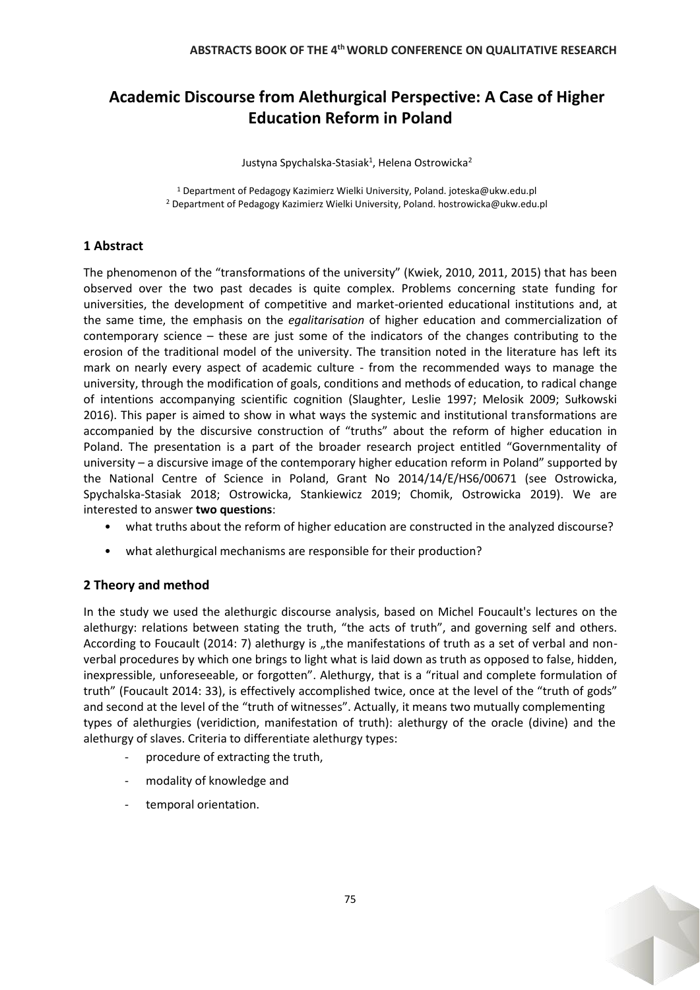# **Academic Discourse from Alethurgical Perspective: A Case of Higher Education Reform in Poland**

Justyna Spychalska-Stasiak<sup>1</sup>, Helena Ostrowicka<sup>2</sup>

<sup>1</sup> Department of Pedagogy Kazimierz Wielki University, Poland. joteska@ukw.edu.pl <sup>2</sup> Department of Pedagogy Kazimierz Wielki University, Poland. hostrowicka@ukw.edu.pl

## **1 Abstract**

The phenomenon of the "transformations of the university" (Kwiek, 2010, 2011, 2015) that has been observed over the two past decades is quite complex. Problems concerning state funding for universities, the development of competitive and market-oriented educational institutions and, at the same time, the emphasis on the *egalitarisation* of higher education and commercialization of contemporary science – these are just some of the indicators of the changes contributing to the erosion of the traditional model of the university. The transition noted in the literature has left its mark on nearly every aspect of academic culture - from the recommended ways to manage the university, through the modification of goals, conditions and methods of education, to radical change of intentions accompanying scientific cognition (Slaughter, Leslie 1997; Melosik 2009; Sułkowski 2016). This paper is aimed to show in what ways the systemic and institutional transformations are accompanied by the discursive construction of "truths" about the reform of higher education in Poland. The presentation is a part of the broader research project entitled "Governmentality of university – a discursive image of the contemporary higher education reform in Poland" supported by the National Centre of Science in Poland, Grant No 2014/14/E/HS6/00671 (see Ostrowicka, Spychalska-Stasiak 2018; Ostrowicka, Stankiewicz 2019; Chomik, Ostrowicka 2019). We are interested to answer **two questions**:

- what truths about the reform of higher education are constructed in the analyzed discourse?
- what alethurgical mechanisms are responsible for their production?

# **2 Theory and method**

In the study we used the alethurgic discourse analysis, based on Michel Foucault's lectures on the alethurgy: relations between stating the truth, "the acts of truth", and governing self and others. According to Foucault (2014: 7) alethurgy is "the manifestations of truth as a set of verbal and nonverbal procedures by which one brings to light what is laid down as truth as opposed to false, hidden, inexpressible, unforeseeable, or forgotten". Alethurgy, that is a "ritual and complete formulation of truth" (Foucault 2014: 33), is effectively accomplished twice, once at the level of the "truth of gods" and second at the level of the "truth of witnesses". Actually, it means two mutually complementing types of alethurgies (veridiction, manifestation of truth): alethurgy of the oracle (divine) and the alethurgy of slaves. Criteria to differentiate alethurgy types:

- procedure of extracting the truth,
- modality of knowledge and
- temporal orientation.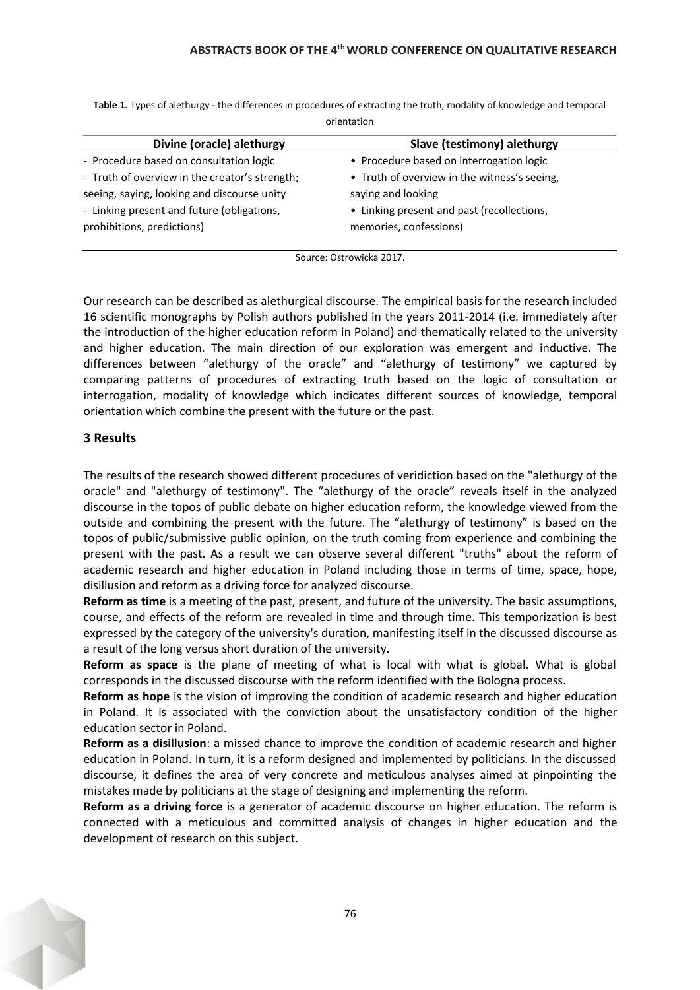**Table 1.** Types of alethurgy - the differences in procedures of extracting the truth, modality of knowledge and temporal orientation

| Divine (oracle) alethurgy                      | Slave (testimony) alethurgy                  |
|------------------------------------------------|----------------------------------------------|
| - Procedure based on consultation logic        | • Procedure based on interrogation logic     |
| - Truth of overview in the creator's strength; | • Truth of overview in the witness's seeing, |
| seeing, saying, looking and discourse unity    | saying and looking                           |
| - Linking present and future (obligations,     | • Linking present and past (recollections,   |
| prohibitions, predictions)                     | memories, confessions)                       |
|                                                |                                              |

Source: Ostrowicka 2017.

Our research can be described as alethurgical discourse. The empirical basis for the research included 16 scientific monographs by Polish authors published in the years 2011-2014 (i.e. immediately after the introduction of the higher education reform in Poland) and thematically related to the university and higher education. The main direction of our exploration was emergent and inductive. The differences between "alethurgy of the oracle" and "alethurgy of testimony" we captured by comparing patterns of procedures of extracting truth based on the logic of consultation or interrogation, modality of knowledge which indicates different sources of knowledge, temporal orientation which combine the present with the future or the past.

## **3 Results**

The results of the research showed different procedures of veridiction based on the "alethurgy of the oracle" and "alethurgy of testimony". The "alethurgy of the oracle" reveals itself in the analyzed discourse in the topos of public debate on higher education reform, the knowledge viewed from the outside and combining the present with the future. The "alethurgy of testimony" is based on the topos of public/submissive public opinion, on the truth coming from experience and combining the present with the past. As a result we can observe several different "truths" about the reform of academic research and higher education in Poland including those in terms of time, space, hope, disillusion and reform as a driving force for analyzed discourse.

**Reform as time** is a meeting of the past, present, and future of the university. The basic assumptions, course, and effects of the reform are revealed in time and through time. This temporization is best expressed by the category of the university's duration, manifesting itself in the discussed discourse as a result of the long versus short duration of the university.

**Reform as space** is the plane of meeting of what is local with what is global. What is global corresponds in the discussed discourse with the reform identified with the Bologna process.

**Reform as hope** is the vision of improving the condition of academic research and higher education in Poland. It is associated with the conviction about the unsatisfactory condition of the higher education sector in Poland.

**Reform as a disillusion**: a missed chance to improve the condition of academic research and higher education in Poland. In turn, it is a reform designed and implemented by politicians. In the discussed discourse, it defines the area of very concrete and meticulous analyses aimed at pinpointing the mistakes made by politicians at the stage of designing and implementing the reform.

**Reform as a driving force** is a generator of academic discourse on higher education. The reform is connected with a meticulous and committed analysis of changes in higher education and the development of research on this subject.